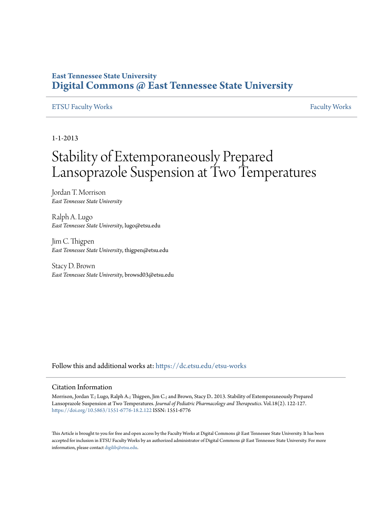### **East Tennessee State University [Digital Commons @ East Tennessee State University](https://dc.etsu.edu?utm_source=dc.etsu.edu%2Fetsu-works%2F5315&utm_medium=PDF&utm_campaign=PDFCoverPages)**

#### [ETSU Faculty Works](https://dc.etsu.edu/etsu-works?utm_source=dc.etsu.edu%2Fetsu-works%2F5315&utm_medium=PDF&utm_campaign=PDFCoverPages) [Faculty Works](https://dc.etsu.edu/faculty-works?utm_source=dc.etsu.edu%2Fetsu-works%2F5315&utm_medium=PDF&utm_campaign=PDFCoverPages) Faculty Works Faculty Works Faculty Works Faculty Works Faculty Works Faculty Works Faculty Morks Faculty Morks Faculty Morks Faculty Morks Faculty Morks Faculty Morks Faculty Morks Faculty

1-1-2013

# Stability of Extemporaneously Prepared Lansoprazole Suspension at Two Temperatures

Jordan T. Morrison *East Tennessee State University*

Ralph A. Lugo *East Tennessee State University*, lugo@etsu.edu

Jim C. Thigpen *East Tennessee State University*, thigpen@etsu.edu

Stacy D. Brown *East Tennessee State University*, browsd03@etsu.edu

Follow this and additional works at: [https://dc.etsu.edu/etsu-works](https://dc.etsu.edu/etsu-works?utm_source=dc.etsu.edu%2Fetsu-works%2F5315&utm_medium=PDF&utm_campaign=PDFCoverPages)

#### Citation Information

Morrison, Jordan T.; Lugo, Ralph A.; Thigpen, Jim C.; and Brown, Stacy D.. 2013. Stability of Extemporaneously Prepared Lansoprazole Suspension at Two Temperatures. *Journal of Pediatric Pharmacology and Therapeutics*. Vol.18(2). 122-127. <https://doi.org/10.5863/1551-6776-18.2.122> ISSN: 1551-6776

This Article is brought to you for free and open access by the Faculty Works at Digital Commons @ East Tennessee State University. It has been accepted for inclusion in ETSU Faculty Works by an authorized administrator of Digital Commons @ East Tennessee State University. For more information, please contact [digilib@etsu.edu.](mailto:digilib@etsu.edu)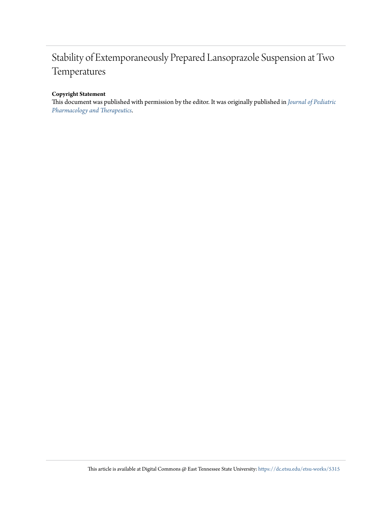# Stability of Extemporaneously Prepared Lansoprazole Suspension at Two Temperatures

#### **Copyright Statement**

This document was published with permission by the editor. It was originally published in *[Journal of Pediatric](https://doi.org/10.5863/1551-6776-18.2.122) [Pharmacology and Therapeutics](https://doi.org/10.5863/1551-6776-18.2.122)*.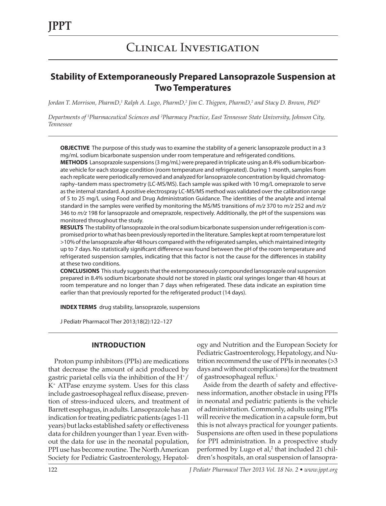## Clinical Investigation

### **Stability of Extemporaneously Prepared Lansoprazole Suspension at Two Temperatures**

Jordan T. Morrison, PharmD,<sup>1</sup> Ralph A. Lugo, PharmD,<sup>2</sup> Jim C. Thigpen, PharmD,<sup>2</sup> and Stacy D. Brown, PhD<sup>1</sup>

*Departments of 1 Pharmaceutical Sciences and 2 Pharmacy Practice, East Tennessee State University, Johnson City, Tennessee*

**OBJECTIVE** The purpose of this study was to examine the stability of a generic lansoprazole product in a 3 mg/mL sodium bicarbonate suspension under room temperature and refrigerated conditions.

**METHODS** Lansoprazole suspensions (3 mg/mL) were prepared in triplicate using an 8.4% sodium bicarbonate vehicle for each storage condition (room temperature and refrigerated). During 1 month, samples from each replicate were periodically removed and analyzed for lansoprazole concentration by liquid chromatography–tandem mass spectrometry (LC-MS/MS). Each sample was spiked with 10 mg/L omeprazole to serve as the internal standard. A positive electrospray LC-MS/MS method was validated over the calibration range of 5 to 25 mg/L using Food and Drug Administration Guidance. The identities of the analyte and internal standard in the samples were verified by monitoring the MS/MS transitions of *m/z* 370 to *m/z* 252 and *m/z* 346 to *m/z* 198 for lansoprazole and omeprazole, respectively. Additionally, the pH of the suspensions was monitored throughout the study.

**RESULTS** The stability of lansoprazole in the oral sodium bicarbonate suspension under refrigeration is compromised prior to what has been previously reported in the literature. Samples kept at room temperature lost >10% of the lansoprazole after 48 hours compared with the refrigerated samples, which maintained integrity up to 7 days. No statistically significant difference was found between the pH of the room temperature and refrigerated suspension samples, indicating that this factor is not the cause for the differences in stability at these two conditions.

**CONCLUSIONS** This study suggests that the extemporaneously compounded lansoprazole oral suspension prepared in 8.4% sodium bicarbonate should not be stored in plastic oral syringes longer than 48 hours at room temperature and no longer than 7 days when refrigerated. These data indicate an expiration time earlier than that previously reported for the refrigerated product (14 days).

**INDEX TERMS** drug stability, lansoprazole, suspensions

J Pediatr Pharmacol Ther 2013;18(2):122–127

#### **INTRODUCTION**

Proton pump inhibitors (PPIs) are medications that decrease the amount of acid produced by gastric parietal cells via the inhibition of the  $H^*/$ K+ ATPase enzyme system. Uses for this class include gastroesophageal reflux disease, prevention of stress-induced ulcers, and treatment of Barrett esophagus, in adults. Lansoprazole has an indication for treating pediatric patients (ages 1-11 years) but lacks established safety or effectiveness data for children younger than 1 year. Even without the data for use in the neonatal population, PPI use has become routine. The North American Society for Pediatric Gastroenterology, Hepatology and Nutrition and the European Society for Pediatric Gastroenterology, Hepatology, and Nutrition recommend the use of PPIs in neonates (>3 days and without complications) for the treatment of gastroesophageal reflux.1

Aside from the dearth of safety and effectiveness information, another obstacle in using PPIs in neonatal and pediatric patients is the vehicle of administration. Commonly, adults using PPIs will receive the medication in a capsule form, but this is not always practical for younger patients. Suspensions are often used in these populations for PPI administration. In a prospective study performed by Lugo et al,<sup>2</sup> that included 21 children's hospitals, an oral suspension of lansopra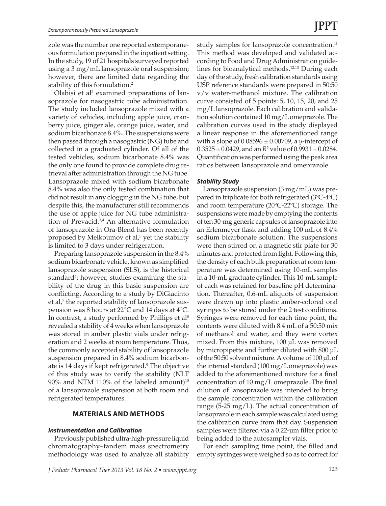zole was the number one reported extemporaneous formulation prepared in the inpatient setting. In the study, 19 of 21 hospitals surveyed reported using a 3 mg/mL lansoprazole oral suspension; however, there are limited data regarding the stability of this formulation.<sup>2</sup>

Olabisi et al<sup>3</sup> examined preparations of lansoprazole for nasogastric tube administration. The study included lansoprazole mixed with a variety of vehicles, including apple juice, cranberry juice, ginger ale, orange juice, water, and sodium bicarbonate 8.4%. The suspensions were then passed through a nasogastric (NG) tube and collected in a graduated cylinder. Of all of the tested vehicles, sodium bicarbonate 8.4% was the only one found to provide complete drug retrieval after administration through the NG tube. Lansoprazole mixed with sodium bicarbonate 8.4% was also the only tested combination that did not result in any clogging in the NG tube, but despite this, the manufacturer still recommends the use of apple juice for NG tube administration of Prevacid.3,4 An alternative formulation of lansoprazole in Ora-Blend has been recently proposed by Melkoumov et al,<sup>5</sup> yet the stability is limited to 3 days under refrigeration.

Preparing lansoprazole suspension in the 8.4% sodium bicarbonate vehicle, known as simplified lansoprazole suspension (SLS), is the historical standard<sup>6</sup>; however, studies examining the stability of the drug in this basic suspension are conflicting. According to a study by DiGiacinto et al,<sup>7</sup> the reported stability of lansoprazole suspension was 8 hours at 22°C and 14 days at 4°C. In contrast, a study performed by Phillips et al<sup>8</sup> revealed a stability of 4 weeks when lansoprazole was stored in amber plastic vials under refrigeration and 2 weeks at room temperature. Thus, the commonly accepted stability of lansoprazole suspension prepared in 8.4% sodium bicarbonate is 14 days if kept refrigerated.<sup>9</sup> The objective of this study was to verify the stability (NLT  $90\%$  and NTM 110% of the labeled amount)<sup>10</sup> of a lansoprazole suspension at both room and refrigerated temperatures.

#### **MATERIALS AND METHODS**

#### *Instrumentation and Calibration*

Previously published ultra-high-pressure liquid chromatography–tandem mass spectrometry methodology was used to analyze all stability

study samples for lansoprazole concentration.<sup>11</sup> This method was developed and validated according to Food and Drug Administration guidelines for bioanalytical methods.12,13 During each day of the study, fresh calibration standards using USP reference standards were prepared in 50:50 v/v water-methanol mixture. The calibration curve consisted of 5 points: 5, 10, 15, 20, and 25 mg/L lansoprazole. Each calibration and validation solution contained 10 mg/L omeprazole. The calibration curves used in the study displayed a linear response in the aforementioned range with a slope of 0.08596 ± 0.00709, a *y*-intercept of  $0.3525 \pm 0.0429$ , and an  $R^2$  value of  $0.9931 \pm 0.0284$ . Quantification was performed using the peak area ratios between lansoprazole and omeprazole.

#### *Stability Study*

Lansoprazole suspension (3 mg/mL) was prepared in triplicate for both refrigerated  $(3^{\circ}C - 4^{\circ}C)$ and room temperature (20ºC-22ºC) storage. The suspensions were made by emptying the contents of ten 30-mg generic capsules of lansoprazole into an Erlenmeyer flask and adding 100 mL of 8.4% sodium bicarbonate solution. The suspensions were then stirred on a magnetic stir plate for 30 minutes and protected from light. Following this, the density of each bulk preparation at room temperature was determined using 10-mL samples in a 10-mL graduate cylinder. This 10-mL sample of each was retained for baseline pH determination. Thereafter, 0.6-mL aliquots of suspension were drawn up into plastic amber-colored oral syringes to be stored under the 2 test conditions. Syringes were removed for each time point, the contents were diluted with 8.4 mL of a 50:50 mix of methanol and water, and they were vortex mixed. From this mixture, 100 µL was removed by micropipette and further diluted with 800 µL of the 50:50 solvent mixture. A volume of 100 µL of the internal standard (100 mg/L omeprazole) was added to the aforementioned mixture for a final concentration of 10 mg/L omeprazole. The final dilution of lansoprazole was intended to bring the sample concentration within the calibration range (5-25 mg/L). The actual concentration of lansoprazole in each sample was calculated using the calibration curve from that day. Suspension samples were filtered via a 0.22-µm filter prior to being added to the autosampler vials.

For each sampling time point, the filled and empty syringes were weighed so as to correct for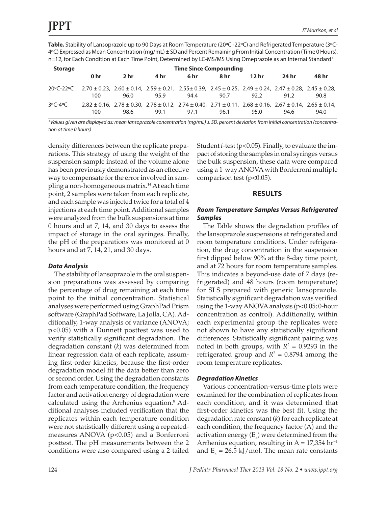**Table.** Stability of Lansoprazole up to 90 Days at Room Temperature (20ºC -22ºC) and Refrigerated Temperature (3ºC-4ºC) Expressed as Mean Concentration (mg/mL) ± SD and Percent Remaining From Initial Concentration (Time 0 Hours), n=12, for Each Condition at Each Time Point, Determined by LC-MS/MS Using Omeprazole as an Internal Standard\*

| <b>Storage</b> | <b>Time Since Compounding</b>                                                                                                                 |                                                                                                                                                         |      |      |      |       |       |       |  |  |
|----------------|-----------------------------------------------------------------------------------------------------------------------------------------------|---------------------------------------------------------------------------------------------------------------------------------------------------------|------|------|------|-------|-------|-------|--|--|
|                | 0 hr                                                                                                                                          | 2 <sub>hr</sub>                                                                                                                                         | 4 hr | 6 hr | 8 hr | 12 hr | 24 hr | 48 hr |  |  |
|                | $20^{\circ}$ C-22 $^{\circ}$ C 2.70 ± 0.23, 2.60 ± 0.14, 2.59 ± 0.21, 2.55 ± 0.39, 2.45 ± 0.25, 2.49 ± 0.24, 2.47 ± 0.28, 2.45 ± 0.28,<br>100 | 96.0                                                                                                                                                    | 95.9 | 94.4 | 90.7 | 92.2  | 91.2  | 90.8  |  |  |
| $3^oC - 4^oC$  | 100                                                                                                                                           | $2.82 \pm 0.16$ , $2.78 \pm 0.30$ , $2.78 \pm 0.12$ , $2.74 \pm 0.40$ , $2.71 \pm 0.11$ , $2.68 \pm 0.16$ , $2.67 \pm 0.14$ , $2.65 \pm 0.14$ ,<br>98.6 | 99.1 | 97.1 | 96.1 | 95.0  | 94.6  | 94.0  |  |  |

*\*Values given are displayed as: mean lansoprazole concentration (mg/mL) ± SD, percent deviation from initial concentration (concentration at time 0 hours)*

density differences between the replicate preparations. This strategy of using the weight of the suspension sample instead of the volume alone has been previously demonstrated as an effective way to compensate for the error involved in sampling a non-homogeneous matrix.14 At each time point, 2 samples were taken from each replicate, and each sample was injected twice for a total of 4 injections at each time point. Additional samples were analyzed from the bulk suspensions at time 0 hours and at 7, 14, and 30 days to assess the impact of storage in the oral syringes. Finally, the pH of the preparations was monitored at 0 hours and at 7, 14, 21, and 30 days.

#### *Data Analysis*

The stability of lansoprazole in the oral suspension preparations was assessed by comparing the percentage of drug remaining at each time point to the initial concentration. Statistical analyses were performed using GraphPad Prism software (GraphPad Software, La Jolla, CA). Additionally, 1-way analysis of variance (ANOVA; p<0.05) with a Dunnett posttest was used to verify statistically significant degradation. The degradation constant (*k*) was determined from linear regression data of each replicate, assuming first-order kinetics, because the first-order degradation model fit the data better than zero or second order. Using the degradation constants from each temperature condition, the frequency factor and activation energy of degradation were calculated using the Arrhenius equation.<sup>8</sup> Additional analyses included verification that the replicates within each temperature condition were not statistically different using a repeatedmeasures ANOVA ( $p$ <0.05) and a Bonferroni posttest. The pH measurements between the 2 conditions were also compared using a 2-tailed

Student *t*-test (p<0.05). Finally, to evaluate the impact of storing the samples in oral syringes versus the bulk suspension, these data were compared using a 1-way ANOVA with Bonferroni multiple comparison test (p<0.05).

#### **RESULTS**

#### *Room Temperature Samples Versus Refrigerated Samples*

The Table shows the degradation profiles of the lansoprazole suspensions at refrigerated and room temperature conditions. Under refrigeration, the drug concentration in the suspension first dipped below 90% at the 8-day time point, and at 72 hours for room temperature samples. This indicates a beyond-use date of 7 days (refrigerated) and 48 hours (room temperature) for SLS prepared with generic lansoprazole. Statistically significant degradation was verified using the 1-way ANOVA analysis (p<0.05; 0-hour concentration as control). Additionally, within each experimental group the replicates were not shown to have any statistically significant differences. Statistically significant pairing was noted in both groups, with  $R^2 = 0.9293$  in the refrigerated group and  $R^2 = 0.8794$  among the room temperature replicates.

#### *Degradation Kinetics*

Various concentration-versus-time plots were examined for the combination of replicates from each condition, and it was determined that first-order kinetics was the best fit. Using the degradation rate constant (*k*) for each replicate at each condition, the frequency factor (A) and the activation energy  $(E_{a})$  were determined from the Arrhenius equation, resulting in A =  $17,354$  hr<sup>-1</sup> and  $E_a = 26.5 \text{ kJ/mol}$ . The mean rate constants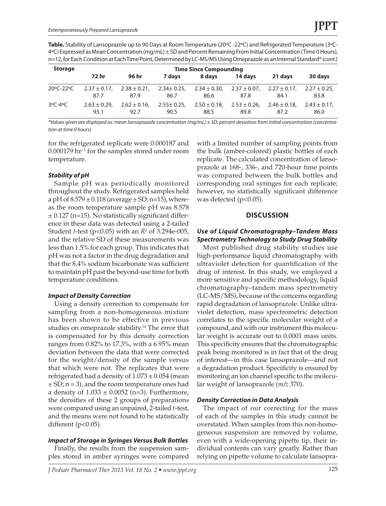**Table.** Stability of Lansoprazole up to 90 Days at Room Temperature (20ºC -22ºC) and Refrigerated Temperature (3ºC-4ºC) Expressed as Mean Concentration (mg/mL) ± SD and Percent Remaining From Initial Concentration (Time 0 Hours), n=12, for Each Condition at Each Time Point, Determined by LC-MS/MS Using Omeprazole as an Internal Standard\* (*cont.*)

| <b>Storage</b> | <b>Time Since Compounding</b> |                   |                 |                   |                   |                   |                   |  |  |  |  |
|----------------|-------------------------------|-------------------|-----------------|-------------------|-------------------|-------------------|-------------------|--|--|--|--|
|                | 72 hr                         | 96 hr             | 7 davs          | 8 days            | 14 davs           | 21 davs           | 30 days           |  |  |  |  |
| 20°C-22°C      | $2.37 \pm 0.17$               | $2.38 \pm 0.21$ . | $2.34 \pm 0.25$ | $2.34 \pm 0.30$ , | $2.37 \pm 0.07$ , | $2.27 \pm 0.17$ . | $2.27 \pm 0.25$   |  |  |  |  |
|                | 87.7                          | 87.9              | 86.7            | 86.6              | 87.8              | 84.1              | 83.8              |  |  |  |  |
| $3^oC - 4^oC$  | $2.63 \pm 0.29$ .             | $2.62 \pm 0.16$   | $2.55 \pm 0.25$ | $2.50 \pm 0.18$   | $2.53 \pm 0.26$   | $2.46 \pm 0.18$   | $2.43 \pm 0.17$ , |  |  |  |  |
|                | 93.1                          | 92.7              | 90.5            | 88.5              | 89.8              | 87.2              | 86.0              |  |  |  |  |

*\*Values given are displayed as: mean lansoprazole concentration (mg/mL) ± SD, percent deviation from initial concentration (concentration at time 0 hours)*

for the refrigerated replicate were 0.000187 and 0.000179 hr−1 for the samples stored under room temperature.

#### *Stability of pH*

Sample pH was periodically monitored throughout the study. Refrigerated samples held a pH of  $8.579 \pm 0.118$  (average  $\pm$  SD; n=15), whereas the room temperature sample pH was 8.578  $\pm$  0.127 (n=15). No statistically significant difference in these data was detected using a 2-tailed Student *t*-test (p<0.05) with an *R*<sup>2</sup> of 3.294e-005, and the relative SD of these measurements was less than 1.5% for each group. This indicates that pH was not a factor in the drug degradation and that the 8.4% sodium bicarbonate was sufficient to maintain pH past the beyond-use time for both temperature conditions.

#### *Impact of Density Correction*

Using a density correction to compensate for sampling from a non-homogeneous mixture has been shown to be effective in previous studies on omeprazole stability.<sup>14</sup> The error that is compensated for by this density correction ranges from 0.82% to 17.3%, with a 6.95% mean deviation between the data that were corrected for the weight/density of the sample versus that which were not. The replicates that were refrigerated had a density of  $1.073 \pm 0.054$  (mean  $\pm$  SD; n = 3), and the room temperature ones had a density of  $1.033 \pm 0.0052$  (n=3). Furthermore, the densities of these 2 groups of preparations were compared using an unpaired, 2-tailed *t*-test, and the means were not found to be statistically different  $(p<0.05)$ .

#### *Impact of Storage in Syringes Versus Bulk Bottles*

Finally, the results from the suspension samples stored in amber syringes were compared with a limited number of sampling points from the bulk (amber-colored) plastic bottles of each replicate. The calculated concentration of lansoprazole at 168-, 336-, and 720-hour time points was compared between the bulk bottles and corresponding oral syringes for each replicate; however, no statistically significant difference was detected (p<0.05).

#### **DISCUSSION**

#### *Use of Liquid Chromatography–Tandem Mass Spectrometry Technology to Study Drug Stability*

Most published drug stability studies use high-performance liquid chromatography with ultraviolet detection for quantification of the drug of interest. In this study, we employed a more sensitive and specific methodology, liquid chromatography–tandem mass spectrometry (LC-MS/MS), because of the concerns regarding rapid degradation of lansoprazole. Unlike ultraviolet detection, mass spectrometric detection correlates to the specific molecular weight of a compound, and with our instrument this molecular weight is accurate out to 0.0001 mass units. This specificity ensures that the chromatographic peak being monitored is in fact that of the drug of interest—in this case lansoprazole—and not a degradation product. Specificity is ensured by monitoring an ion channel specific to the molecular weight of lansoprazole (*m/z* 370).

#### *Density Correction in Data Analysis*

The impact of our correcting for the mass of each of the samples in this study cannot be overstated. When samples from this non-homogeneous suspension are removed by volume, even with a wide-opening pipette tip, their individual contents can vary greatly. Rather than relying on pipette volume to calculate lansopra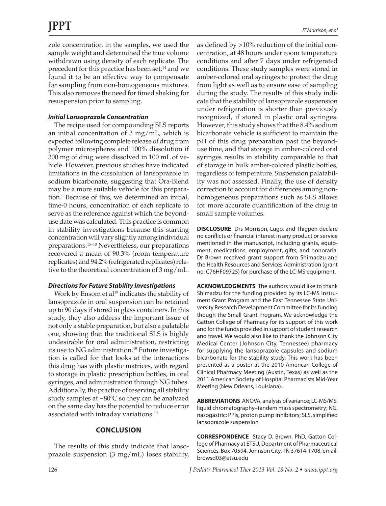zole concentration in the samples, we used the sample weight and determined the true volume withdrawn using density of each replicate. The precedent for this practice has been set,<sup>14</sup> and we found it to be an effective way to compensate for sampling from non-homogeneous mixtures. This also removes the need for timed shaking for resuspension prior to sampling.

#### *Initial Lansoprazole Concentration*

The recipe used for compounding SLS reports an initial concentration of 3 mg/mL, which is expected following complete release of drug from polymer microspheres and 100% dissolution if 300 mg of drug were dissolved in 100 mL of vehicle. However, previous studies have indicated limitations in the dissolution of lansoprazole in sodium bicarbonate, suggesting that Ora-Blend may be a more suitable vehicle for this preparation.5 Because of this, we determined an initial, time-0 hours, concentration of each replicate to serve as the reference against which the beyonduse date was calculated. This practice is common in stability investigations because this starting concentration will vary slightly among individual preparations.15–18 Nevertheless, our preparations recovered a mean of 90.3% (room temperature replicates) and 94.2% (refrigerated replicates) relative to the theoretical concentration of 3 mg/mL.

#### *Directions for Future Stability Investigations*

Work by Ensom et al<sup>19</sup> indicates the stability of lansoprazole in oral suspension can be retained up to 90 days if stored in glass containers. In this study, they also address the important issue of not only a stable preparation, but also a palatable one, showing that the traditional SLS is highly undesirable for oral administration, restricting its use to NG administration.<sup>19</sup> Future investigation is called for that looks at the interactions this drug has with plastic matrices, with regard to storage in plastic prescription bottles, in oral syringes, and administration through NG tubes. Additionally, the practice of reserving all stability study samples at –80°C so they can be analyzed on the same day has the potential to reduce error associated with intraday variations.19

#### **CONCLUSION**

The results of this study indicate that lansoprazole suspension (3 mg/mL) loses stability, as defined by >10% reduction of the initial concentration, at 48 hours under room temperature conditions and after 7 days under refrigerated conditions. These study samples were stored in amber-colored oral syringes to protect the drug from light as well as to ensure ease of sampling during the study. The results of this study indicate that the stability of lansoprazole suspension under refrigeration is shorter than previously recognized, if stored in plastic oral syringes. However, this study shows that the 8.4% sodium bicarbonate vehicle is sufficient to maintain the pH of this drug preparation past the beyonduse time, and that storage in amber-colored oral syringes results in stability comparable to that of storage in bulk amber-colored plastic bottles, regardless of temperature. Suspension palatability was not assessed. Finally, the use of density correction to account for differences among nonhomogeneous preparations such as SLS allows for more accurate quantification of the drug in small sample volumes.

**DISCLOSURE** Drs Morrison, Lugo, and Thigpen declare no conflicts or financial interest in any product or service mentioned in the manuscript, including grants, equipment, medications, employment, gifts, and honoraria. Dr Brown received grant support from Shimadzu and the Health Resources and Services Administration (grant no. C76HF09725) for purchase of the LC-MS equipment.

**ACKNOWLEDGMENTS** The authors would like to thank Shimadzu for the funding provided by its LC-MS Instrument Grant Program and the East Tennessee State University Research Development Committee for its funding though the Small Grant Program. We acknowledge the Gatton College of Pharmacy for its support of this work and for the funds provided in support of student research and travel. We would also like to thank the Johnson City Medical Center (Johnson City, Tennessee) pharmacy for supplying the lansoprazole capsules and sodium bicarbonate for the stability study. This work has been presented as a poster at the 2010 American College of Clinical Pharmacy Meeting (Austin, Texas) as well as the 2011 American Society of Hospital Pharmacists Mid-Year Meeting (New Orleans, Louisiana).

**ABBREVIATIONS** ANOVA, analysis of variance; LC-MS/MS, liquid chromatography–tandem mass spectrometry; NG, nasogastric; PPIs, proton pump inhibitors; SLS, simplified lansoprazole suspension

**CORRESPONDENCE** Stacy D. Brown, PhD, Gatton College of Pharmacy at ETSU, Department of Pharmaceutical Sciences, Box 70594, Johnson City, TN 37614-1708, email: browsd03@etsu.edu